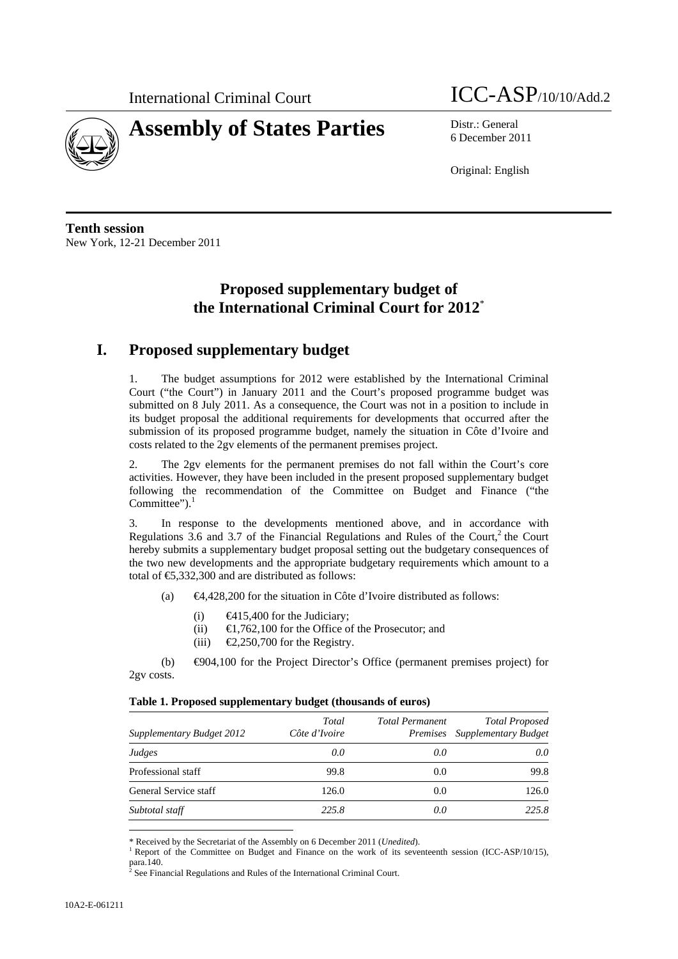

# **Assembly of States Parties** Distr.: General

# International Criminal Court **ICC-ASP**/10/10/Add.2

6 December 2011

Original: English

**Tenth session**  New York, 12-21 December 2011

# **Proposed supplementary budget of the International Criminal Court for 2012**\*

# **I. Proposed supplementary budget**

1. The budget assumptions for 2012 were established by the International Criminal Court ("the Court") in January 2011 and the Court's proposed programme budget was submitted on 8 July 2011. As a consequence, the Court was not in a position to include in its budget proposal the additional requirements for developments that occurred after the submission of its proposed programme budget, namely the situation in Côte d'Ivoire and costs related to the 2gv elements of the permanent premises project.

2. The 2gv elements for the permanent premises do not fall within the Court's core activities. However, they have been included in the present proposed supplementary budget following the recommendation of the Committee on Budget and Finance ("the Committee"). $<sup>1</sup>$ </sup>

3. In response to the developments mentioned above, and in accordance with Regulations  $3.6$  and  $3.7$  of the Financial Regulations and Rules of the Court,<sup>2</sup> the Court hereby submits a supplementary budget proposal setting out the budgetary consequences of the two new developments and the appropriate budgetary requirements which amount to a total of  $\epsilon$ 5,332,300 and are distributed as follows:

(a) €4,428,200 for the situation in Côte d'Ivoire distributed as follows:

- (i)  $\qquad \qquad \text{\textsterling}415,400 \text{ for the Judiciency};$
- (ii)  $\in \mathbb{R}$ ,762,100 for the Office of the Prosecutor; and
- (iii)  $\bigoplus$ , 250,700 for the Registry.

(b) €904,100 for the Project Director's Office (permanent premises project) for 2gv costs.

| Table 1. Proposed supplementary budget (thousands of euros) |  |  |  |  |  |
|-------------------------------------------------------------|--|--|--|--|--|
|-------------------------------------------------------------|--|--|--|--|--|

| <b>Supplementary Budget 2012</b> | Total<br>Côte d'Ivoire | <b>Total Permanent</b> | <b>Total Proposed</b><br>Premises Supplementary Budget |
|----------------------------------|------------------------|------------------------|--------------------------------------------------------|
| Judges                           | 0.0                    | 0.0                    | 0.0                                                    |
| Professional staff               | 99.8                   | 0.0                    | 99.8                                                   |
| General Service staff            | 126.0                  | 0.0                    | 126.0                                                  |
| Subtotal staff                   | 225.8                  | 0.0                    | 225.8                                                  |

\* Received by the Secretariat of the Assembly on 6 December 2011 (*Unedited*). 1

<sup>&</sup>lt;sup>1</sup> Report of the Committee on Budget and Finance on the work of its seventeenth session (ICC-ASP/10/15), para.140.<br><sup>2</sup> See Fine

See Financial Regulations and Rules of the International Criminal Court.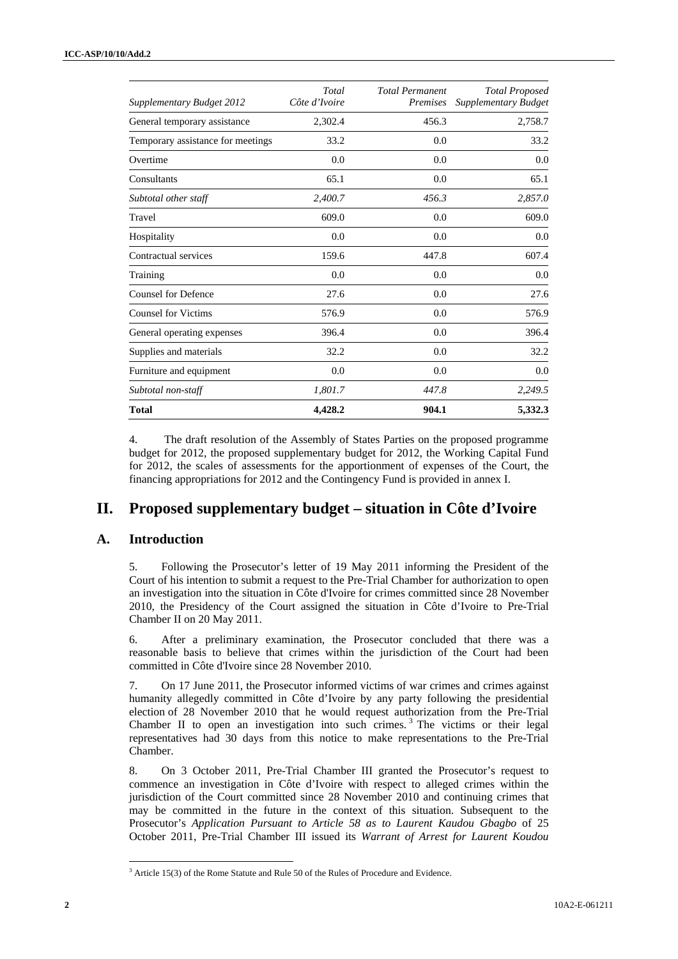| Supplementary Budget 2012         | Total<br>Côte d'Ivoire | <b>Total Permanent</b><br>Premises | <b>Total Proposed</b><br>Supplementary Budget |
|-----------------------------------|------------------------|------------------------------------|-----------------------------------------------|
| General temporary assistance      | 2,302.4                | 456.3                              | 2,758.7                                       |
| Temporary assistance for meetings | 33.2                   | 0.0                                | 33.2                                          |
| Overtime                          | 0.0                    | 0.0                                | 0.0                                           |
| Consultants                       | 65.1                   | 0.0                                | 65.1                                          |
| Subtotal other staff              | 2,400.7                | 456.3                              | 2,857.0                                       |
| Travel                            | 609.0                  | 0.0                                | 609.0                                         |
| Hospitality                       | 0.0                    | 0.0                                | 0.0                                           |
| Contractual services              | 159.6                  | 447.8                              | 607.4                                         |
| Training                          | 0.0                    | 0.0                                | 0.0                                           |
| <b>Counsel for Defence</b>        | 27.6                   | 0.0                                | 27.6                                          |
| <b>Counsel for Victims</b>        | 576.9                  | 0.0                                | 576.9                                         |
| General operating expenses        | 396.4                  | 0.0                                | 396.4                                         |
| Supplies and materials            | 32.2                   | 0.0                                | 32.2                                          |
| Furniture and equipment           | 0.0                    | 0.0                                | 0.0                                           |
| Subtotal non-staff                | 1,801.7                | 447.8                              | 2,249.5                                       |
| <b>Total</b>                      | 4,428.2                | 904.1                              | 5,332.3                                       |

4. The draft resolution of the Assembly of States Parties on the proposed programme budget for 2012, the proposed supplementary budget for 2012, the Working Capital Fund for 2012, the scales of assessments for the apportionment of expenses of the Court, the financing appropriations for 2012 and the Contingency Fund is provided in annex I.

# **II. Proposed supplementary budget – situation in Côte d'Ivoire**

#### **A. Introduction**

5. Following the Prosecutor's letter of 19 May 2011 informing the President of the Court of his intention to submit a request to the Pre-Trial Chamber for authorization to open an investigation into the situation in Côte d'Ivoire for crimes committed since 28 November 2010, the Presidency of the Court assigned the situation in Côte d'Ivoire to Pre-Trial Chamber II on 20 May 2011.

6. After a preliminary examination, the Prosecutor concluded that there was a reasonable basis to believe that crimes within the jurisdiction of the Court had been committed in Côte d'Ivoire since 28 November 2010.

7. On 17 June 2011, the Prosecutor informed victims of war crimes and crimes against humanity allegedly committed in Côte d'Ivoire by any party following the presidential election of 28 November 2010 that he would request authorization from the Pre-Trial Chamber II to open an investigation into such crimes.<sup>3</sup> The victims or their legal representatives had 30 days from this notice to make representations to the Pre-Trial Chamber.

8. On 3 October 2011, Pre-Trial Chamber III granted the Prosecutor's request to commence an investigation in Côte d'Ivoire with respect to alleged crimes within the jurisdiction of the Court committed since 28 November 2010 and continuing crimes that may be committed in the future in the context of this situation. Subsequent to the Prosecutor's *Application Pursuant to Article 58 as to Laurent Kaudou Gbagbo* of 25 October 2011, Pre-Trial Chamber III issued its *Warrant of Arrest for Laurent Koudou* 

 $3$  Article 15(3) of the Rome Statute and Rule 50 of the Rules of Procedure and Evidence.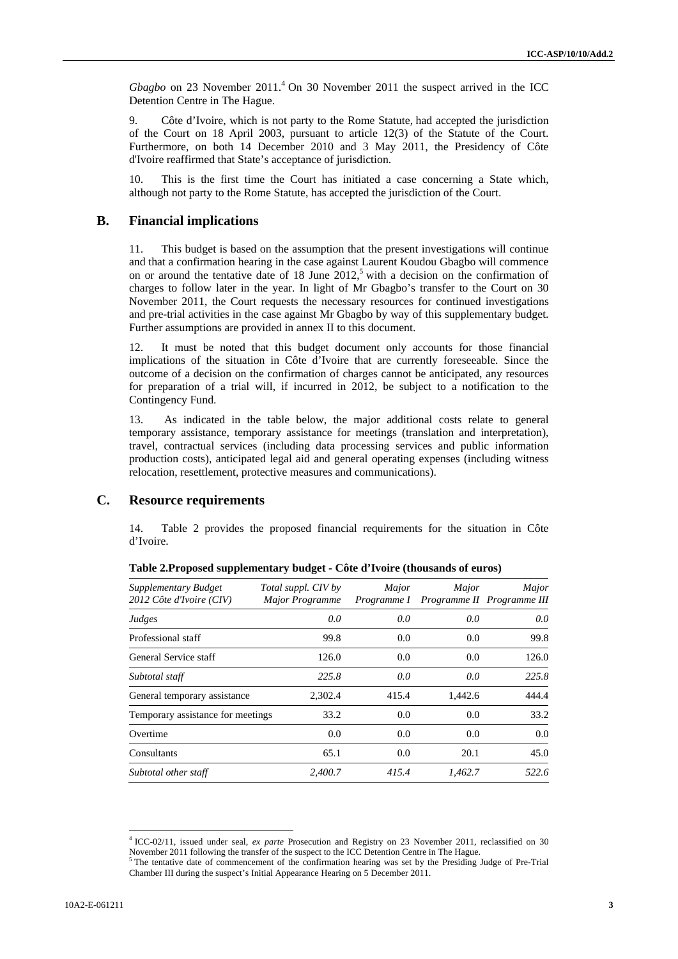$Gbagbo$  on 23 November 2011.<sup>4</sup> On 30 November 2011 the suspect arrived in the ICC Detention Centre in The Hague.

9. Côte d'Ivoire, which is not party to the Rome Statute, had accepted the jurisdiction of the Court on 18 April 2003, pursuant to article 12(3) of the Statute of the Court. Furthermore, on both 14 December 2010 and 3 May 2011, the Presidency of Côte d'Ivoire reaffirmed that State's acceptance of jurisdiction.

10. This is the first time the Court has initiated a case concerning a State which, although not party to the Rome Statute, has accepted the jurisdiction of the Court.

### **B. Financial implications**

11. This budget is based on the assumption that the present investigations will continue and that a confirmation hearing in the case against Laurent Koudou Gbagbo will commence on or around the tentative date of  $18$  June  $2012<sup>5</sup>$  with a decision on the confirmation of charges to follow later in the year. In light of Mr Gbagbo's transfer to the Court on 30 November 2011, the Court requests the necessary resources for continued investigations and pre-trial activities in the case against Mr Gbagbo by way of this supplementary budget. Further assumptions are provided in annex II to this document.

12. It must be noted that this budget document only accounts for those financial implications of the situation in Côte d'Ivoire that are currently foreseeable. Since the outcome of a decision on the confirmation of charges cannot be anticipated, any resources for preparation of a trial will, if incurred in 2012, be subject to a notification to the Contingency Fund.

13. As indicated in the table below, the major additional costs relate to general temporary assistance, temporary assistance for meetings (translation and interpretation), travel, contractual services (including data processing services and public information production costs), anticipated legal aid and general operating expenses (including witness relocation, resettlement, protective measures and communications).

#### **C. Resource requirements**

14. Table 2 provides the proposed financial requirements for the situation in Côte d'Ivoire.

| Supplementary Budget<br>2012 Côte d'Ivoire (CIV) | Total suppl. CIV by<br>Major Programme | Major | Major<br>Programme I Programme II Programme III | Major |
|--------------------------------------------------|----------------------------------------|-------|-------------------------------------------------|-------|
| Judges                                           | 0.0                                    | 0.0   | 0.0                                             | 0.0   |
| Professional staff                               | 99.8                                   | 0.0   | 0.0                                             | 99.8  |
| General Service staff                            | 126.0                                  | 0.0   | 0.0                                             | 126.0 |
| Subtotal staff                                   | 225.8                                  | 0.0   | 0.0                                             | 225.8 |
| General temporary assistance                     | 2,302.4                                | 415.4 | 1,442.6                                         | 444.4 |
| Temporary assistance for meetings                | 33.2                                   | 0.0   | 0.0                                             | 33.2  |
| Overtime                                         | 0.0                                    | 0.0   | 0.0                                             | 0.0   |
| Consultants                                      | 65.1                                   | 0.0   | 20.1                                            | 45.0  |
| Subtotal other staff                             | 2,400.7                                | 415.4 | 1,462.7                                         | 522.6 |

**Table 2.Proposed supplementary budget - Côte d'Ivoire (thousands of euros)** 

<sup>4</sup> ICC-02/11, issued under seal, *ex parte* Prosecution and Registry on 23 November 2011, reclassified on 30 November 2011 following the transfer of the suspect to the ICC Detention Centre in The Hague.<br><sup>5</sup> The tentative date of commencement of the confirmation hearing was set by the Presiding Judge of Pre-Trial

Chamber III during the suspect's Initial Appearance Hearing on 5 December 2011.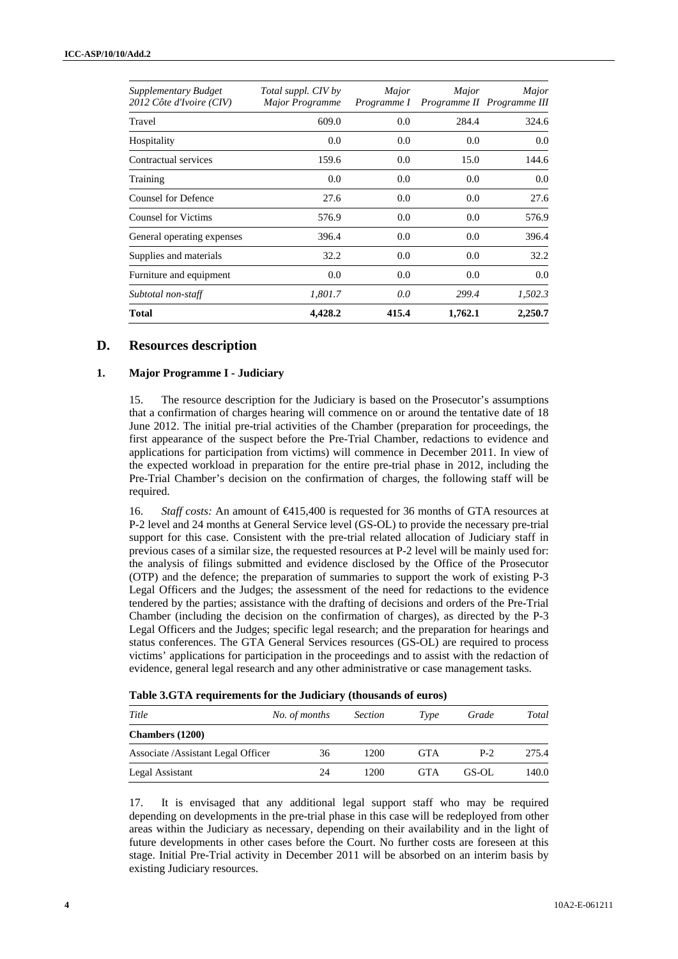| Supplementary Budget<br>2012 Côte d'Ivoire (CIV) | Total suppl. CIV by<br><b>Major Programme</b> | Major<br>Programme I | Major   | Major<br>Programme II Programme III |
|--------------------------------------------------|-----------------------------------------------|----------------------|---------|-------------------------------------|
| Travel                                           | 609.0                                         | 0.0                  | 284.4   | 324.6                               |
| Hospitality                                      | 0.0                                           | 0.0                  | 0.0     | 0.0                                 |
| Contractual services                             | 159.6                                         | 0.0                  | 15.0    | 144.6                               |
| Training                                         | 0.0                                           | 0.0                  | 0.0     | 0.0                                 |
| <b>Counsel for Defence</b>                       | 27.6                                          | 0.0                  | 0.0     | 27.6                                |
| <b>Counsel for Victims</b>                       | 576.9                                         | 0.0                  | 0.0     | 576.9                               |
| General operating expenses                       | 396.4                                         | 0.0                  | 0.0     | 396.4                               |
| Supplies and materials                           | 32.2                                          | 0.0                  | 0.0     | 32.2                                |
| Furniture and equipment                          | $0.0\,$                                       | 0.0                  | 0.0     | 0.0                                 |
| Subtotal non-staff                               | 1,801.7                                       | 0.0                  | 299.4   | 1,502.3                             |
| <b>Total</b>                                     | 4,428.2                                       | 415.4                | 1,762.1 | 2,250.7                             |

## **D. Resources description**

#### **1. Major Programme I - Judiciary**

15. The resource description for the Judiciary is based on the Prosecutor's assumptions that a confirmation of charges hearing will commence on or around the tentative date of 18 June 2012. The initial pre-trial activities of the Chamber (preparation for proceedings, the first appearance of the suspect before the Pre-Trial Chamber, redactions to evidence and applications for participation from victims) will commence in December 2011. In view of the expected workload in preparation for the entire pre-trial phase in 2012, including the Pre-Trial Chamber's decision on the confirmation of charges, the following staff will be required.

16. *Staff costs:* An amount of €415,400 is requested for 36 months of GTA resources at P-2 level and 24 months at General Service level (GS-OL) to provide the necessary pre-trial support for this case. Consistent with the pre-trial related allocation of Judiciary staff in previous cases of a similar size, the requested resources at P-2 level will be mainly used for: the analysis of filings submitted and evidence disclosed by the Office of the Prosecutor (OTP) and the defence; the preparation of summaries to support the work of existing P-3 Legal Officers and the Judges; the assessment of the need for redactions to the evidence tendered by the parties; assistance with the drafting of decisions and orders of the Pre-Trial Chamber (including the decision on the confirmation of charges), as directed by the P-3 Legal Officers and the Judges; specific legal research; and the preparation for hearings and status conferences. The GTA General Services resources (GS-OL) are required to process victims' applications for participation in the proceedings and to assist with the redaction of evidence, general legal research and any other administrative or case management tasks.

|  |  |  |  | Table 3.GTA requirements for the Judiciary (thousands of euros) |
|--|--|--|--|-----------------------------------------------------------------|
|--|--|--|--|-----------------------------------------------------------------|

| Title                               | No. of months | <i>Section</i> | Type       | Grade | Total |
|-------------------------------------|---------------|----------------|------------|-------|-------|
| <b>Chambers</b> (1200)              |               |                |            |       |       |
| Associate / Assistant Legal Officer | 36            | 1200           | <b>GTA</b> | $P-2$ | 275.4 |
| Legal Assistant                     | 24            | 1200           | <b>GTA</b> | GS-OL | 140.0 |

17. It is envisaged that any additional legal support staff who may be required depending on developments in the pre-trial phase in this case will be redeployed from other areas within the Judiciary as necessary, depending on their availability and in the light of future developments in other cases before the Court. No further costs are foreseen at this stage. Initial Pre-Trial activity in December 2011 will be absorbed on an interim basis by existing Judiciary resources.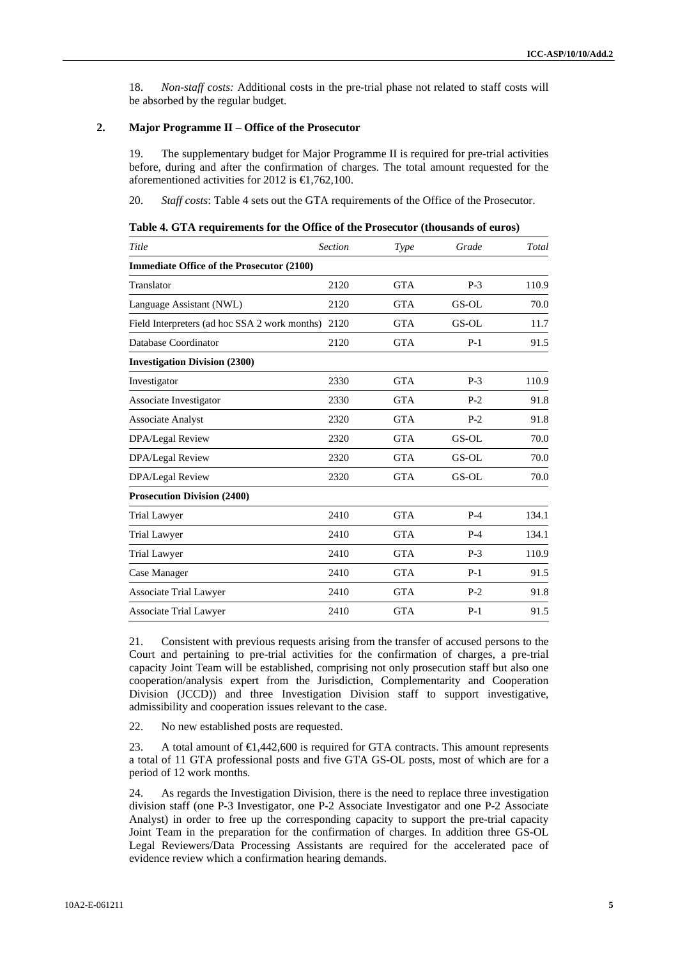18. *Non-staff costs:* Additional costs in the pre-trial phase not related to staff costs will be absorbed by the regular budget.

#### **2. Major Programme II – Office of the Prosecutor**

19. The supplementary budget for Major Programme II is required for pre-trial activities before, during and after the confirmation of charges. The total amount requested for the aforementioned activities for 2012 is  $\in$ 1,762,100.

20. *Staff costs*: Table 4 sets out the GTA requirements of the Office of the Prosecutor.

| Table 4. GTA requirements for the Office of the Prosecutor (thousands of euros) |
|---------------------------------------------------------------------------------|
|---------------------------------------------------------------------------------|

| <b>GTA</b> |       |       |
|------------|-------|-------|
|            |       |       |
|            | $P-3$ | 110.9 |
| <b>GTA</b> | GS-OL | 70.0  |
| <b>GTA</b> | GS-OL | 11.7  |
| <b>GTA</b> | $P-1$ | 91.5  |
|            |       |       |
| <b>GTA</b> | $P-3$ | 110.9 |
| <b>GTA</b> | $P-2$ | 91.8  |
| <b>GTA</b> | $P-2$ | 91.8  |
| <b>GTA</b> | GS-OL | 70.0  |
| <b>GTA</b> | GS-OL | 70.0  |
| <b>GTA</b> | GS-OL | 70.0  |
|            |       |       |
| <b>GTA</b> | $P-4$ | 134.1 |
| <b>GTA</b> | $P-4$ | 134.1 |
| <b>GTA</b> | $P-3$ | 110.9 |
| <b>GTA</b> | $P-1$ | 91.5  |
| <b>GTA</b> | $P-2$ | 91.8  |
|            |       |       |
|            |       |       |

21. Consistent with previous requests arising from the transfer of accused persons to the Court and pertaining to pre-trial activities for the confirmation of charges, a pre-trial capacity Joint Team will be established, comprising not only prosecution staff but also one cooperation/analysis expert from the Jurisdiction, Complementarity and Cooperation Division (JCCD)) and three Investigation Division staff to support investigative, admissibility and cooperation issues relevant to the case.

22. No new established posts are requested.

23. A total amount of  $\bigoplus$ , 442,600 is required for GTA contracts. This amount represents a total of 11 GTA professional posts and five GTA GS-OL posts, most of which are for a period of 12 work months.

24. As regards the Investigation Division, there is the need to replace three investigation division staff (one P-3 Investigator, one P-2 Associate Investigator and one P-2 Associate Analyst) in order to free up the corresponding capacity to support the pre-trial capacity Joint Team in the preparation for the confirmation of charges. In addition three GS-OL Legal Reviewers/Data Processing Assistants are required for the accelerated pace of evidence review which a confirmation hearing demands.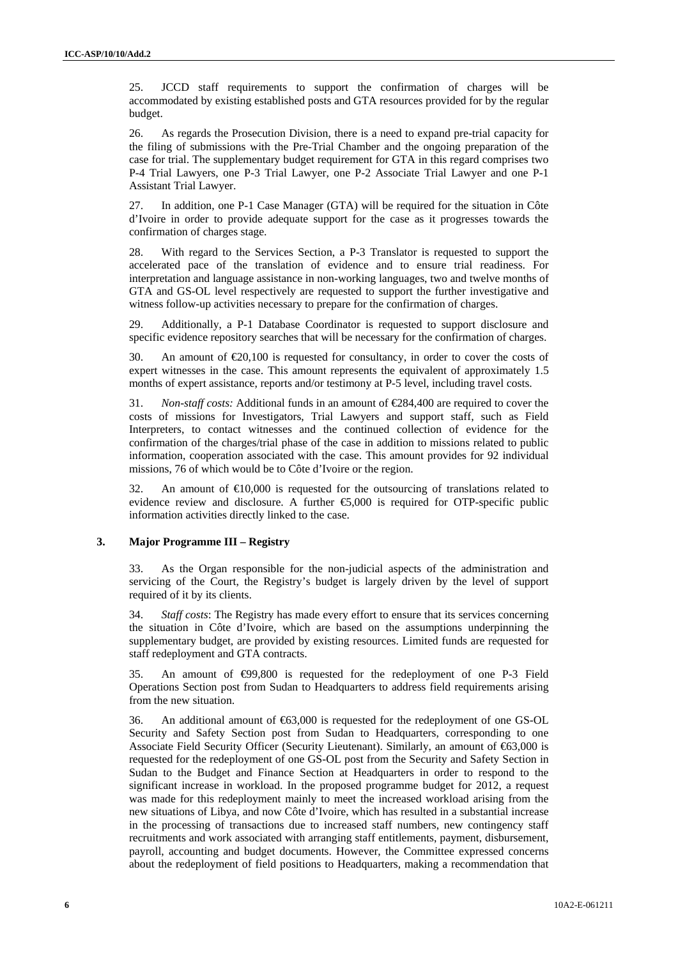25. JCCD staff requirements to support the confirmation of charges will be accommodated by existing established posts and GTA resources provided for by the regular budget.

26. As regards the Prosecution Division, there is a need to expand pre-trial capacity for the filing of submissions with the Pre-Trial Chamber and the ongoing preparation of the case for trial. The supplementary budget requirement for GTA in this regard comprises two P-4 Trial Lawyers, one P-3 Trial Lawyer, one P-2 Associate Trial Lawyer and one P-1 Assistant Trial Lawyer.

27. In addition, one P-1 Case Manager (GTA) will be required for the situation in Côte d'Ivoire in order to provide adequate support for the case as it progresses towards the confirmation of charges stage.

28. With regard to the Services Section, a P-3 Translator is requested to support the accelerated pace of the translation of evidence and to ensure trial readiness. For interpretation and language assistance in non-working languages, two and twelve months of GTA and GS-OL level respectively are requested to support the further investigative and witness follow-up activities necessary to prepare for the confirmation of charges.

29. Additionally, a P-1 Database Coordinator is requested to support disclosure and specific evidence repository searches that will be necessary for the confirmation of charges.

30. An amount of  $\epsilon 20,100$  is requested for consultancy, in order to cover the costs of expert witnesses in the case. This amount represents the equivalent of approximately 1.5 months of expert assistance, reports and/or testimony at P-5 level, including travel costs.

31. *Non-staff costs:* Additional funds in an amount of €284,400 are required to cover the costs of missions for Investigators, Trial Lawyers and support staff, such as Field Interpreters, to contact witnesses and the continued collection of evidence for the confirmation of the charges/trial phase of the case in addition to missions related to public information, cooperation associated with the case. This amount provides for 92 individual missions, 76 of which would be to Côte d'Ivoire or the region.

32. An amount of  $\bigoplus$ 0,000 is requested for the outsourcing of translations related to evidence review and disclosure. A further  $\epsilon$ 5,000 is required for OTP-specific public information activities directly linked to the case.

#### **3. Major Programme III – Registry**

33. As the Organ responsible for the non-judicial aspects of the administration and servicing of the Court, the Registry's budget is largely driven by the level of support required of it by its clients.

34. *Staff costs*: The Registry has made every effort to ensure that its services concerning the situation in Côte d'Ivoire, which are based on the assumptions underpinning the supplementary budget, are provided by existing resources. Limited funds are requested for staff redeployment and GTA contracts.

35. An amount of €99,800 is requested for the redeployment of one P-3 Field Operations Section post from Sudan to Headquarters to address field requirements arising from the new situation.

36. An additional amount of €63,000 is requested for the redeployment of one GS-OL Security and Safety Section post from Sudan to Headquarters, corresponding to one Associate Field Security Officer (Security Lieutenant). Similarly, an amount of €63,000 is requested for the redeployment of one GS-OL post from the Security and Safety Section in Sudan to the Budget and Finance Section at Headquarters in order to respond to the significant increase in workload. In the proposed programme budget for 2012, a request was made for this redeployment mainly to meet the increased workload arising from the new situations of Libya, and now Côte d'Ivoire, which has resulted in a substantial increase in the processing of transactions due to increased staff numbers, new contingency staff recruitments and work associated with arranging staff entitlements, payment, disbursement, payroll, accounting and budget documents. However, the Committee expressed concerns about the redeployment of field positions to Headquarters, making a recommendation that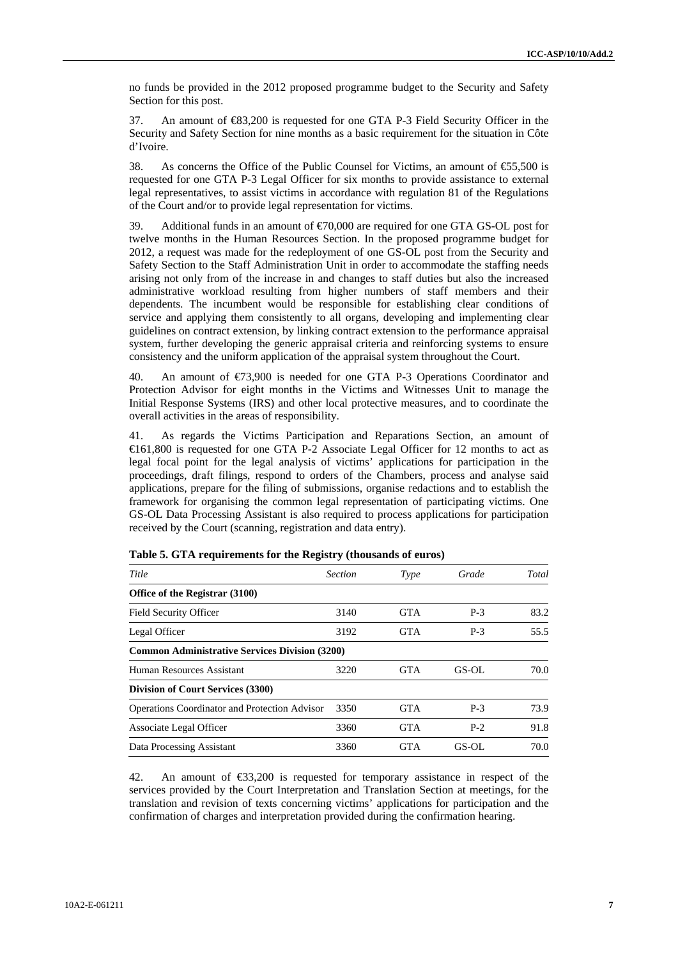no funds be provided in the 2012 proposed programme budget to the Security and Safety Section for this post.

37. An amount of €83,200 is requested for one GTA P-3 Field Security Officer in the Security and Safety Section for nine months as a basic requirement for the situation in Côte d'Ivoire.

38. As concerns the Office of the Public Counsel for Victims, an amount of  $\epsilon$ 5.500 is requested for one GTA P-3 Legal Officer for six months to provide assistance to external legal representatives, to assist victims in accordance with regulation 81 of the Regulations of the Court and/or to provide legal representation for victims.

39. Additional funds in an amount of €70,000 are required for one GTA GS-OL post for twelve months in the Human Resources Section. In the proposed programme budget for 2012, a request was made for the redeployment of one GS-OL post from the Security and Safety Section to the Staff Administration Unit in order to accommodate the staffing needs arising not only from of the increase in and changes to staff duties but also the increased administrative workload resulting from higher numbers of staff members and their dependents. The incumbent would be responsible for establishing clear conditions of service and applying them consistently to all organs, developing and implementing clear guidelines on contract extension, by linking contract extension to the performance appraisal system, further developing the generic appraisal criteria and reinforcing systems to ensure consistency and the uniform application of the appraisal system throughout the Court.

An amount of  $\epsilon$ 73,900 is needed for one GTA P-3 Operations Coordinator and Protection Advisor for eight months in the Victims and Witnesses Unit to manage the Initial Response Systems (IRS) and other local protective measures, and to coordinate the overall activities in the areas of responsibility.

41. As regards the Victims Participation and Reparations Section, an amount of €161,800 is requested for one GTA P-2 Associate Legal Officer for 12 months to act as legal focal point for the legal analysis of victims' applications for participation in the proceedings, draft filings, respond to orders of the Chambers, process and analyse said applications, prepare for the filing of submissions, organise redactions and to establish the framework for organising the common legal representation of participating victims. One GS-OL Data Processing Assistant is also required to process applications for participation received by the Court (scanning, registration and data entry).

| Title                                                 | <b>Section</b> | Type       | Grade | Total |
|-------------------------------------------------------|----------------|------------|-------|-------|
| Office of the Registrar (3100)                        |                |            |       |       |
| Field Security Officer                                | 3140           | <b>GTA</b> | $P-3$ | 83.2  |
| Legal Officer                                         | 3192           | <b>GTA</b> | $P-3$ | 55.5  |
| <b>Common Administrative Services Division (3200)</b> |                |            |       |       |
| Human Resources Assistant                             | 3220           | <b>GTA</b> | GS-OL | 70.0  |
| <b>Division of Court Services (3300)</b>              |                |            |       |       |
| <b>Operations Coordinator and Protection Advisor</b>  | 3350           | <b>GTA</b> | $P-3$ | 73.9  |
| Associate Legal Officer                               | 3360           | <b>GTA</b> | $P-2$ | 91.8  |
| Data Processing Assistant                             | 3360           | <b>GTA</b> | GS-OL | 70.0  |

**Table 5. GTA requirements for the Registry (thousands of euros)** 

42. An amount of €33,200 is requested for temporary assistance in respect of the services provided by the Court Interpretation and Translation Section at meetings, for the translation and revision of texts concerning victims' applications for participation and the confirmation of charges and interpretation provided during the confirmation hearing.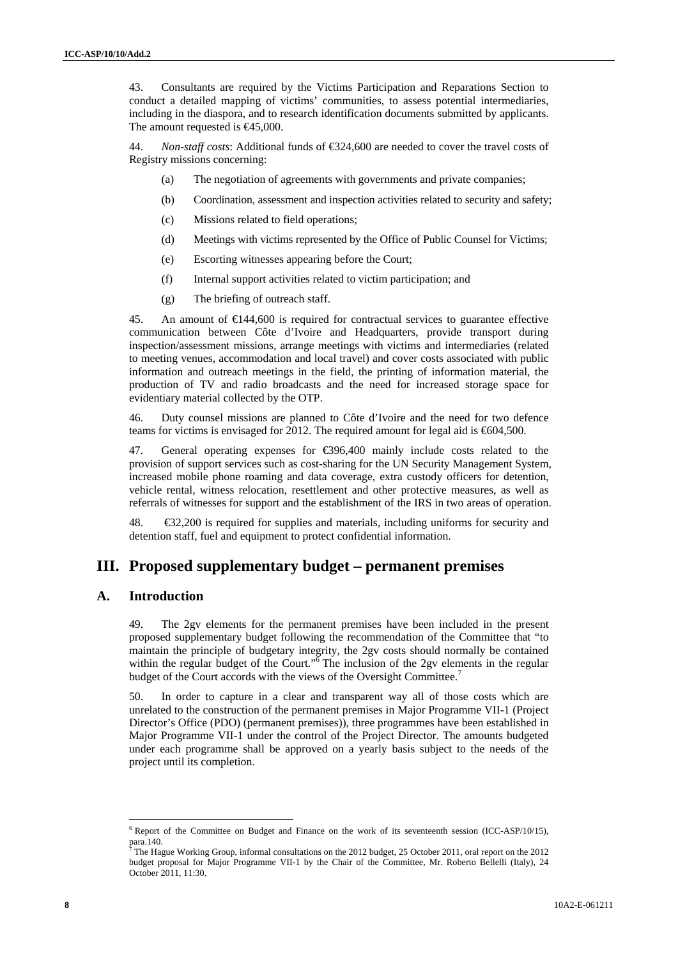43. Consultants are required by the Victims Participation and Reparations Section to conduct a detailed mapping of victims' communities, to assess potential intermediaries, including in the diaspora, and to research identification documents submitted by applicants. The amount requested is  $\epsilon$ 45,000.

44. *Non-staff costs*: Additional funds of  $\text{\textsterling}324,600$  are needed to cover the travel costs of Registry missions concerning:

- (a) The negotiation of agreements with governments and private companies;
- (b) Coordination, assessment and inspection activities related to security and safety;
- (c) Missions related to field operations;
- (d) Meetings with victims represented by the Office of Public Counsel for Victims;
- (e) Escorting witnesses appearing before the Court;
- (f) Internal support activities related to victim participation; and
- (g) The briefing of outreach staff.

45. An amount of €144,600 is required for contractual services to guarantee effective communication between Côte d'Ivoire and Headquarters, provide transport during inspection/assessment missions, arrange meetings with victims and intermediaries (related to meeting venues, accommodation and local travel) and cover costs associated with public information and outreach meetings in the field, the printing of information material, the production of TV and radio broadcasts and the need for increased storage space for evidentiary material collected by the OTP.

46. Duty counsel missions are planned to Côte d'Ivoire and the need for two defence teams for victims is envisaged for 2012. The required amount for legal aid is €604,500.

47. General operating expenses for €396,400 mainly include costs related to the provision of support services such as cost-sharing for the UN Security Management System, increased mobile phone roaming and data coverage, extra custody officers for detention, vehicle rental, witness relocation, resettlement and other protective measures, as well as referrals of witnesses for support and the establishment of the IRS in two areas of operation.

48.  $\bigoplus$   $\bigoplus$   $2,200$  is required for supplies and materials, including uniforms for security and detention staff, fuel and equipment to protect confidential information.

# **III. Proposed supplementary budget – permanent premises**

## **A. Introduction**

 $\overline{a}$ 

49. The 2gv elements for the permanent premises have been included in the present proposed supplementary budget following the recommendation of the Committee that "to maintain the principle of budgetary integrity, the 2gv costs should normally be contained within the regular budget of the Court." $\delta$  The inclusion of the 2gv elements in the regular budget of the Court accords with the views of the Oversight Committee.<sup>7</sup>

50. In order to capture in a clear and transparent way all of those costs which are unrelated to the construction of the permanent premises in Major Programme VII-1 (Project Director's Office (PDO) (permanent premises)), three programmes have been established in Major Programme VII-1 under the control of the Project Director. The amounts budgeted under each programme shall be approved on a yearly basis subject to the needs of the project until its completion.

<sup>&</sup>lt;sup>6</sup> Report of the Committee on Budget and Finance on the work of its seventeenth session (ICC-ASP/10/15), para.140.<br><sup>7</sup> The Hee

The Hague Working Group, informal consultations on the 2012 budget, 25 October 2011, oral report on the 2012 budget proposal for Major Programme VII-1 by the Chair of the Committee, Mr. Roberto Bellelli (Italy), 24 October 2011, 11:30.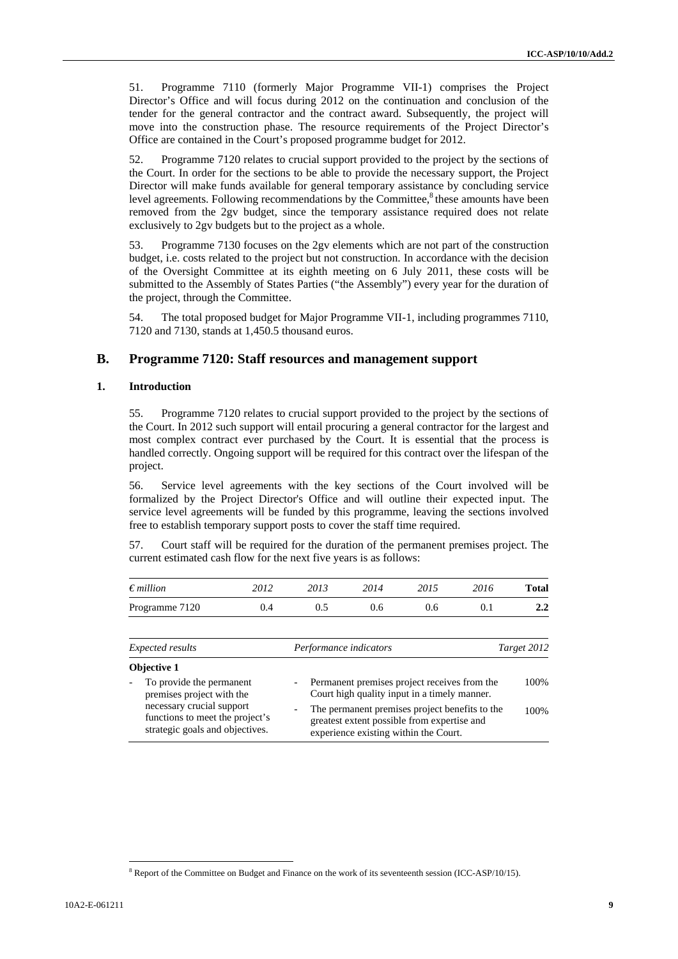51. Programme 7110 (formerly Major Programme VII-1) comprises the Project Director's Office and will focus during 2012 on the continuation and conclusion of the tender for the general contractor and the contract award. Subsequently, the project will move into the construction phase. The resource requirements of the Project Director's Office are contained in the Court's proposed programme budget for 2012.

52. Programme 7120 relates to crucial support provided to the project by the sections of the Court. In order for the sections to be able to provide the necessary support, the Project Director will make funds available for general temporary assistance by concluding service level agreements. Following recommendations by the Committee,<sup>8</sup> these amounts have been removed from the 2gv budget, since the temporary assistance required does not relate exclusively to 2gv budgets but to the project as a whole.

53. Programme 7130 focuses on the 2gv elements which are not part of the construction budget, i.e. costs related to the project but not construction. In accordance with the decision of the Oversight Committee at its eighth meeting on 6 July 2011, these costs will be submitted to the Assembly of States Parties ("the Assembly") every year for the duration of the project, through the Committee.

54. The total proposed budget for Major Programme VII-1, including programmes 7110, 7120 and 7130, stands at 1,450.5 thousand euros.

# **B. Programme 7120: Staff resources and management support**

#### **1. Introduction**

55. Programme 7120 relates to crucial support provided to the project by the sections of the Court. In 2012 such support will entail procuring a general contractor for the largest and most complex contract ever purchased by the Court. It is essential that the process is handled correctly. Ongoing support will be required for this contract over the lifespan of the project.

56. Service level agreements with the key sections of the Court involved will be formalized by the Project Director's Office and will outline their expected input. The service level agreements will be funded by this programme, leaving the sections involved free to establish temporary support posts to cover the staff time required.

57. Court staff will be required for the duration of the permanent premises project. The current estimated cash flow for the next five years is as follows:

| $\epsilon$ <i>million</i> | 2012 | 2013 | 2014 | 2015 | 2016 | <b>Total</b> |
|---------------------------|------|------|------|------|------|--------------|
| Programme 7120            | 0.4  | 0.5  | 0.6  | 0.6  | O. I | 2.2          |
|                           |      |      |      |      |      |              |

| Expected results         |                                                                                                 |                          | Performance indicators                                                                                                                 | Target 2012 |  |
|--------------------------|-------------------------------------------------------------------------------------------------|--------------------------|----------------------------------------------------------------------------------------------------------------------------------------|-------------|--|
|                          | <b>Objective 1</b>                                                                              |                          |                                                                                                                                        |             |  |
| $\overline{\phantom{a}}$ | To provide the permanent<br>premises project with the                                           |                          | - Permanent premises project receives from the<br>Court high quality input in a timely manner.                                         | 100\%       |  |
|                          | necessary crucial support<br>functions to meet the project's<br>strategic goals and objectives. | $\overline{\phantom{m}}$ | The permanent premises project benefits to the<br>greatest extent possible from expertise and<br>experience existing within the Court. | 100%        |  |

<sup>&</sup>lt;sup>8</sup> Report of the Committee on Budget and Finance on the work of its seventeenth session (ICC-ASP/10/15).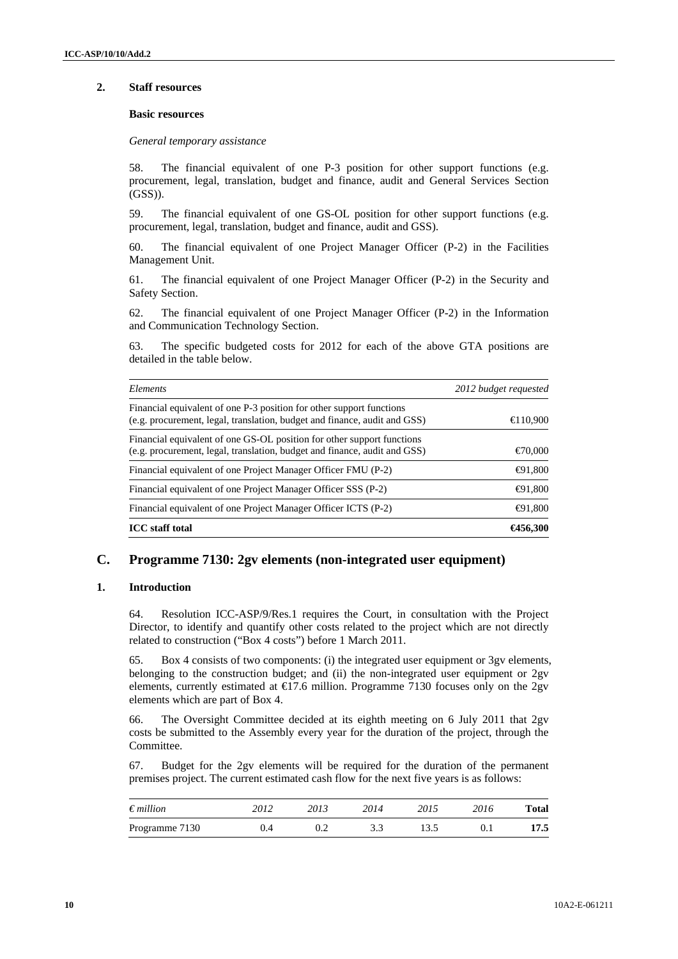#### **2. Staff resources**

#### **Basic resources**

*General temporary assistance* 

58. The financial equivalent of one P-3 position for other support functions (e.g. procurement, legal, translation, budget and finance, audit and General Services Section (GSS)).

59. The financial equivalent of one GS-OL position for other support functions (e.g. procurement, legal, translation, budget and finance, audit and GSS).

60. The financial equivalent of one Project Manager Officer (P-2) in the Facilities Management Unit.

61. The financial equivalent of one Project Manager Officer (P-2) in the Security and Safety Section.

62. The financial equivalent of one Project Manager Officer (P-2) in the Information and Communication Technology Section.

63. The specific budgeted costs for 2012 for each of the above GTA positions are detailed in the table below.

| Elements                                                                                                                                            | 2012 budget requested |
|-----------------------------------------------------------------------------------------------------------------------------------------------------|-----------------------|
| Financial equivalent of one P-3 position for other support functions<br>(e.g. procurement, legal, translation, budget and finance, audit and GSS)   | $\bigoplus$ 10,900    |
| Financial equivalent of one GS-OL position for other support functions<br>(e.g. procurement, legal, translation, budget and finance, audit and GSS) | $\epsilon$ 70,000     |
| Financial equivalent of one Project Manager Officer FMU (P-2)                                                                                       | $\bigoplus$ 1,800     |
| Financial equivalent of one Project Manager Officer SSS (P-2)                                                                                       | $\bigoplus$ 1,800     |
| Financial equivalent of one Project Manager Officer ICTS (P-2)                                                                                      | $\bigoplus$ 1,800     |
| <b>ICC</b> staff total                                                                                                                              | €456,300              |

### **C. Programme 7130: 2gv elements (non-integrated user equipment)**

#### **1. Introduction**

64. Resolution ICC-ASP/9/Res.1 requires the Court, in consultation with the Project Director, to identify and quantify other costs related to the project which are not directly related to construction ("Box 4 costs") before 1 March 2011.

65. Box 4 consists of two components: (i) the integrated user equipment or 3gv elements, belonging to the construction budget; and (ii) the non-integrated user equipment or 2gv elements, currently estimated at  $\epsilon$ 17.6 million. Programme 7130 focuses only on the 2gv elements which are part of Box 4.

66. The Oversight Committee decided at its eighth meeting on 6 July 2011 that 2gv costs be submitted to the Assembly every year for the duration of the project, through the Committee.

67. Budget for the 2gv elements will be required for the duration of the permanent premises project. The current estimated cash flow for the next five years is as follows:

| $\epsilon$ <i>million</i> | 2012 | 2013 | 2014 | 2015 | 2016 | Total |
|---------------------------|------|------|------|------|------|-------|
| Programme 7130            |      |      |      |      |      | 17.5  |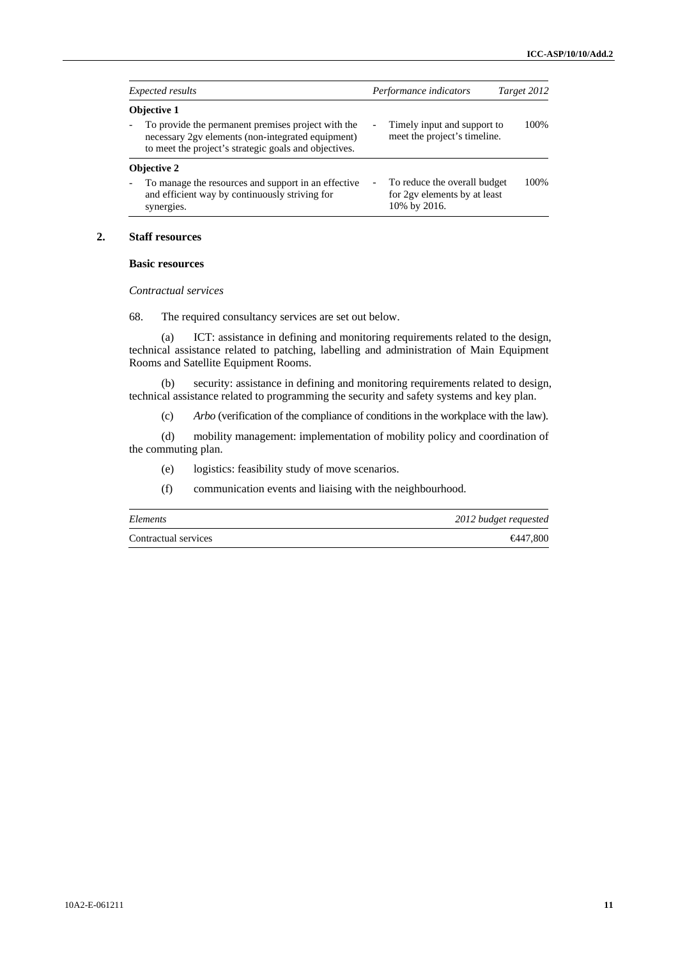| <i>Expected results</i>                                                                                                                                                                |                          | Performance indicators                                                       | Target 2012 |  |
|----------------------------------------------------------------------------------------------------------------------------------------------------------------------------------------|--------------------------|------------------------------------------------------------------------------|-------------|--|
| <b>Objective 1</b><br>To provide the permanent premises project with the<br>necessary 2gv elements (non-integrated equipment)<br>to meet the project's strategic goals and objectives. |                          | Timely input and support to<br>meet the project's timeline.                  | 100\%       |  |
| <b>Objective 2</b>                                                                                                                                                                     |                          |                                                                              |             |  |
| To manage the resources and support in an effective<br>and efficient way by continuously striving for<br>synergies.                                                                    | $\overline{\phantom{0}}$ | To reduce the overall budget<br>for 2gy elements by at least<br>10% by 2016. | 100\%       |  |

#### **2. Staff resources**

#### **Basic resources**

*Contractual services* 

68. The required consultancy services are set out below.

(a) ICT: assistance in defining and monitoring requirements related to the design, technical assistance related to patching, labelling and administration of Main Equipment Rooms and Satellite Equipment Rooms.

(b) security: assistance in defining and monitoring requirements related to design, technical assistance related to programming the security and safety systems and key plan.

(c) *Arbo* (verification of the compliance of conditions in the workplace with the law).

(d) mobility management: implementation of mobility policy and coordination of the commuting plan.

(e) logistics: feasibility study of move scenarios.

(f) communication events and liaising with the neighbourhood.

| Elements             | 2012 budget requested |
|----------------------|-----------------------|
| Contractual services | $\bigoplus$ 447.800   |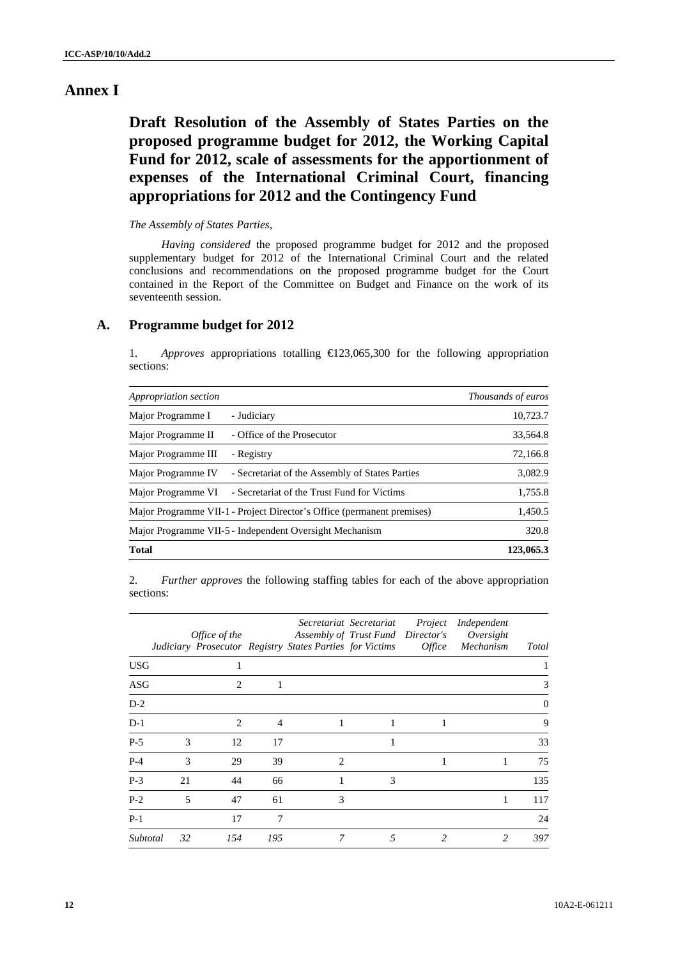# **Annex I**

**Draft Resolution of the Assembly of States Parties on the proposed programme budget for 2012, the Working Capital Fund for 2012, scale of assessments for the apportionment of expenses of the International Criminal Court, financing appropriations for 2012 and the Contingency Fund** 

#### *The Assembly of States Parties,*

*Having considered* the proposed programme budget for 2012 and the proposed supplementary budget for 2012 of the International Criminal Court and the related conclusions and recommendations on the proposed programme budget for the Court contained in the Report of the Committee on Budget and Finance on the work of its seventeenth session.

# **A. Programme budget for 2012**

1. *Approves* appropriations totalling €123,065,300 for the following appropriation sections:

| Appropriation section                                                  | <i>Thousands of euros</i> |
|------------------------------------------------------------------------|---------------------------|
| Major Programme I<br>- Judiciary                                       | 10,723.7                  |
| Major Programme II<br>- Office of the Prosecutor                       | 33,564.8                  |
| Major Programme III<br>- Registry                                      | 72,166.8                  |
| Major Programme IV<br>- Secretariat of the Assembly of States Parties  | 3,082.9                   |
| Major Programme VI<br>- Secretariat of the Trust Fund for Victims      | 1,755.8                   |
| Major Programme VII-1 - Project Director's Office (permanent premises) | 1,450.5                   |
| Major Programme VII-5 - Independent Oversight Mechanism                | 320.8                     |
| <b>Total</b>                                                           | 123,065.3                 |

2. *Further approves* the following staffing tables for each of the above appropriation sections:

|            |    | Office of the  |                | Assembly of Trust Fund Director's<br>Judiciary Prosecutor Registry States Parties for Victims | Secretariat Secretariat | Project<br><i>Office</i> | Independent<br>Oversight<br>Mechanism | <b>Total</b> |
|------------|----|----------------|----------------|-----------------------------------------------------------------------------------------------|-------------------------|--------------------------|---------------------------------------|--------------|
| <b>USG</b> |    |                |                |                                                                                               |                         |                          |                                       |              |
| ASG        |    | $\overline{c}$ |                |                                                                                               |                         |                          |                                       | 3            |
| $D-2$      |    |                |                |                                                                                               |                         |                          |                                       | $\theta$     |
| $D-1$      |    | $\mathcal{L}$  | $\overline{4}$ | 1                                                                                             |                         |                          |                                       | 9            |
| $P-5$      | 3  | 12             | 17             |                                                                                               | 1                       |                          |                                       | 33           |
| $P-4$      | 3  | 29             | 39             | $\mathfrak{D}$                                                                                |                         |                          |                                       | 75           |
| $P-3$      | 21 | 44             | 66             | 1                                                                                             | 3                       |                          |                                       | 135          |
| $P-2$      | 5  | 47             | 61             | 3                                                                                             |                         |                          | 1                                     | 117          |
| $P-1$      |    | 17             | 7              |                                                                                               |                         |                          |                                       | 24           |
| Subtotal   | 32 | 154            | 195            | 7                                                                                             | 5                       | 2                        | 2                                     | 397          |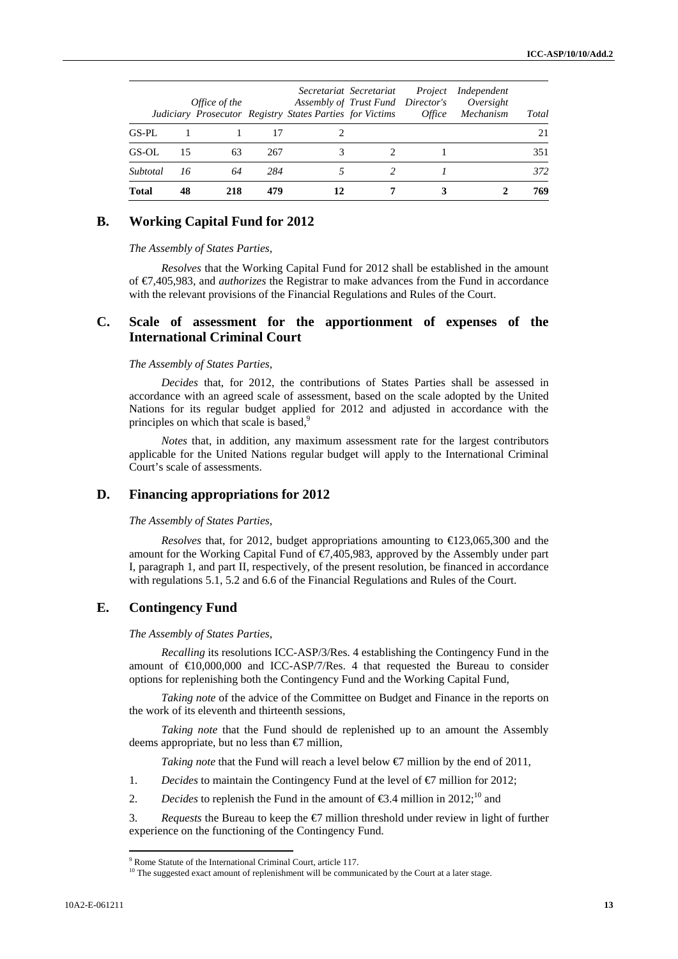|          |    | Office of the |     | Assembly of Trust Fund Director's<br>Judiciary Prosecutor Registry States Parties for Victims | Secretariat Secretariat | Project<br><i>Office</i> | Independent<br>Oversight<br>Mechanism | Total |
|----------|----|---------------|-----|-----------------------------------------------------------------------------------------------|-------------------------|--------------------------|---------------------------------------|-------|
| GS-PL    |    |               |     |                                                                                               |                         |                          |                                       | 21    |
| GS-OL    | 15 | 63            | 267 |                                                                                               |                         |                          |                                       | 351   |
| Subtotal | 16 | 64            | 284 |                                                                                               |                         |                          |                                       | 372   |
| Total    | 48 | 218           | 479 |                                                                                               |                         |                          |                                       | 769   |

### **B. Working Capital Fund for 2012**

*The Assembly of States Parties,* 

*Resolves* that the Working Capital Fund for 2012 shall be established in the amount of €7,405,983, and *authorizes* the Registrar to make advances from the Fund in accordance with the relevant provisions of the Financial Regulations and Rules of the Court.

## **C. Scale of assessment for the apportionment of expenses of the International Criminal Court**

#### *The Assembly of States Parties,*

*Decides* that, for 2012, the contributions of States Parties shall be assessed in accordance with an agreed scale of assessment, based on the scale adopted by the United Nations for its regular budget applied for 2012 and adjusted in accordance with the principles on which that scale is based.<sup>9</sup>

*Notes* that, in addition, any maximum assessment rate for the largest contributors applicable for the United Nations regular budget will apply to the International Criminal Court's scale of assessments.

### **D. Financing appropriations for 2012**

#### *The Assembly of States Parties,*

*Resolves* that, for 2012, budget appropriations amounting to €123,065,300 and the amount for the Working Capital Fund of €7,405,983, approved by the Assembly under part I, paragraph 1, and part II, respectively, of the present resolution, be financed in accordance with regulations 5.1, 5.2 and 6.6 of the Financial Regulations and Rules of the Court.

### **E. Contingency Fund**

*The Assembly of States Parties,* 

*Recalling* its resolutions ICC-ASP/3/Res. 4 establishing the Contingency Fund in the amount of  $\Theta$ 0,000,000 and ICC-ASP/7/Res. 4 that requested the Bureau to consider options for replenishing both the Contingency Fund and the Working Capital Fund,

*Taking note* of the advice of the Committee on Budget and Finance in the reports on the work of its eleventh and thirteenth sessions,

*Taking note* that the Fund should de replenished up to an amount the Assembly deems appropriate, but no less than  $\epsilon$  million,

*Taking note* that the Fund will reach a level below  $\bigoplus$  million by the end of 2011,

- 1. *Decides* to maintain the Contingency Fund at the level of  $\epsilon$  million for 2012;
- 2. *Decides* to replenish the Fund in the amount of  $\epsilon$ 3.4 million in 2012;<sup>10</sup> and

3. *Requests* the Bureau to keep the  $\bigcirc$  million threshold under review in light of further experience on the functioning of the Contingency Fund.

<sup>9</sup> Rome Statute of the International Criminal Court, article 117.

<sup>&</sup>lt;sup>10</sup> The suggested exact amount of replenishment will be communicated by the Court at a later stage.